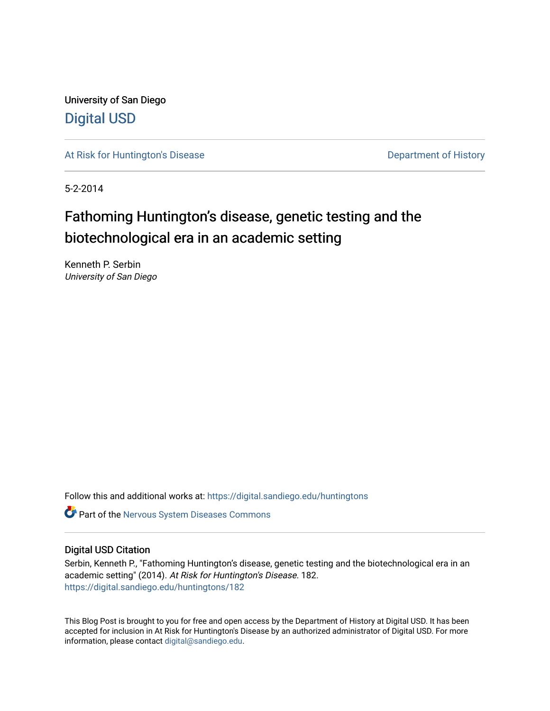University of San Diego [Digital USD](https://digital.sandiego.edu/)

[At Risk for Huntington's Disease](https://digital.sandiego.edu/huntingtons) **Department of History** Department of History

5-2-2014

# Fathoming Huntington's disease, genetic testing and the biotechnological era in an academic setting

Kenneth P. Serbin University of San Diego

Follow this and additional works at: [https://digital.sandiego.edu/huntingtons](https://digital.sandiego.edu/huntingtons?utm_source=digital.sandiego.edu%2Fhuntingtons%2F182&utm_medium=PDF&utm_campaign=PDFCoverPages)

**C** Part of the [Nervous System Diseases Commons](http://network.bepress.com/hgg/discipline/928?utm_source=digital.sandiego.edu%2Fhuntingtons%2F182&utm_medium=PDF&utm_campaign=PDFCoverPages)

## Digital USD Citation

Serbin, Kenneth P., "Fathoming Huntington's disease, genetic testing and the biotechnological era in an academic setting" (2014). At Risk for Huntington's Disease. 182. [https://digital.sandiego.edu/huntingtons/182](https://digital.sandiego.edu/huntingtons/182?utm_source=digital.sandiego.edu%2Fhuntingtons%2F182&utm_medium=PDF&utm_campaign=PDFCoverPages)

This Blog Post is brought to you for free and open access by the Department of History at Digital USD. It has been accepted for inclusion in At Risk for Huntington's Disease by an authorized administrator of Digital USD. For more information, please contact [digital@sandiego.edu.](mailto:digital@sandiego.edu)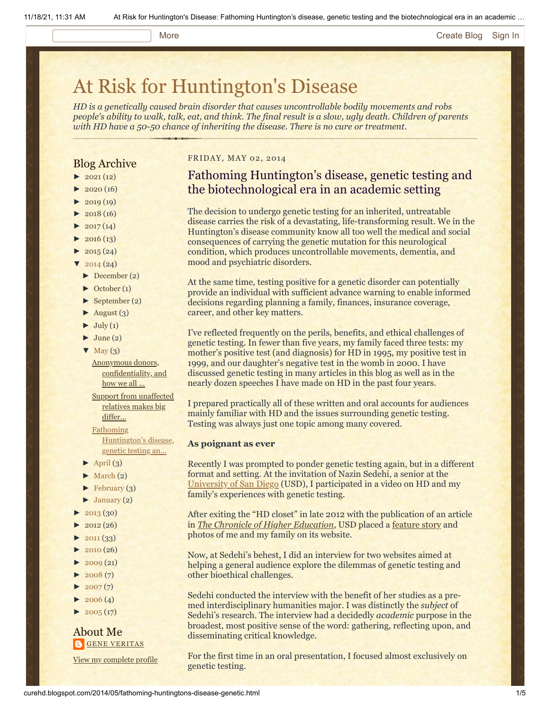#### More **[Create Blog](https://www.blogger.com/home#create) [Sign In](https://www.blogger.com/)**

# [At Risk for Huntington's Disease](http://curehd.blogspot.com/)

*HD is a genetically caused brain disorder that causes uncontrollable bodily movements and robs people's ability to walk, talk, eat, and think. The final result is a slow, ugly death. Children of parents with HD have a 50-50 chance of inheriting the disease. There is no cure or treatment.*

# Blog Archive

- $\blacktriangleright$  [2021](http://curehd.blogspot.com/2021/) (12)
- $2020(16)$  $2020(16)$
- $-2019(19)$  $-2019(19)$  $-2019(19)$
- $\blacktriangleright$  [2018](http://curehd.blogspot.com/2018/) (16)
- $2017(14)$  $2017(14)$
- $2016(13)$  $2016(13)$
- $\blacktriangleright$  [2015](http://curehd.blogspot.com/2015/) (24)
- $\sqrt{2014(24)}$  $\sqrt{2014(24)}$  $\sqrt{2014(24)}$
- [►](javascript:void(0)) [December](http://curehd.blogspot.com/2014/12/) (2)
- [►](javascript:void(0)) [October](http://curehd.blogspot.com/2014/10/) (1)
- [►](javascript:void(0)) [September](http://curehd.blogspot.com/2014/09/) (2)
- $\blacktriangleright$  [August](http://curehd.blogspot.com/2014/08/) (3)
- $\blacktriangleright$  [July](http://curehd.blogspot.com/2014/07/) (1)
- $\blacktriangleright$  [June](http://curehd.blogspot.com/2014/06/) (2)
- $\nabla$  [May](http://curehd.blogspot.com/2014/05/)  $(3)$

Anonymous donors, [confidentiality,](http://curehd.blogspot.com/2014/05/anonymous-donors-confidentiality-and.html) and how we all ...

Support from [unaffected](http://curehd.blogspot.com/2014/05/support-from-unaffected-relatives-makes.html) relatives makes big

differ...

Fathoming

[Huntington's](http://curehd.blogspot.com/2014/05/fathoming-huntingtons-disease-genetic.html) disease, genetic testing an...

- $\blacktriangleright$  [April](http://curehd.blogspot.com/2014/04/) (3)
- $\blacktriangleright$  [March](http://curehd.blogspot.com/2014/03/) (2)
- $\blacktriangleright$  [February](http://curehd.blogspot.com/2014/02/) (3)
- $\blacktriangleright$  [January](http://curehd.blogspot.com/2014/01/) (2)
- [►](javascript:void(0)) [2013](http://curehd.blogspot.com/2013/) (30)
- $2012(26)$  $2012(26)$
- $-2011(33)$  $-2011(33)$  $-2011(33)$
- $\blacktriangleright$  [2010](http://curehd.blogspot.com/2010/) (26)
- $-2009(21)$  $-2009(21)$  $-2009(21)$
- $\blacktriangleright$  [2008](http://curehd.blogspot.com/2008/) $(7)$
- $2007(7)$  $2007(7)$
- $\blacktriangleright$  [2006](http://curehd.blogspot.com/2006/) (4)
- $\blacktriangleright$  [2005](http://curehd.blogspot.com/2005/) (17)

About Me **GENE [VERITAS](https://www.blogger.com/profile/10911736205741688185)** 

View my [complete](https://www.blogger.com/profile/10911736205741688185) profile

### FRIDAY, MAY 02, 2014

# Fathoming Huntington's disease, genetic testing and the biotechnological era in an academic setting

The decision to undergo genetic testing for an inherited, untreatable disease carries the risk of a devastating, life-transforming result. We in the Huntington's disease community know all too well the medical and social consequences of carrying the genetic mutation for this neurological condition, which produces uncontrollable movements, dementia, and mood and psychiatric disorders.

At the same time, testing positive for a genetic disorder can potentially provide an individual with sufficient advance warning to enable informed decisions regarding planning a family, finances, insurance coverage, career, and other key matters.

I've reflected frequently on the perils, benefits, and ethical challenges of genetic testing. In fewer than five years, my family faced three tests: my mother's positive test (and diagnosis) for HD in 1995, my positive test in 1999, and our daughter's negative test in the womb in 2000. I have discussed genetic testing in many articles in this blog as well as in the nearly dozen speeches I have made on HD in the past four years.

I prepared practically all of these written and oral accounts for audiences mainly familiar with HD and the issues surrounding genetic testing. Testing was always just one topic among many covered.

#### **As poignant as ever**

Recently I was prompted to ponder genetic testing again, but in a different format and setting. At the invitation of Nazin Sedehi, a senior at the [University of San Diego](http://www.sandiego.edu/) (USD), I participated in a video on HD and my family's experiences with genetic testing.

After exiting the "HD closet" in late 2012 with the publication of an article in *[The Chronicle of Higher Education](https://chronicle.com/article/Racing-Against-the-Genetic/135542)*, USD placed a [feature story](http://www.sandiego.edu/cas/news_events/feature_stories/kenneth_serbin.php) and photos of me and my family on its website.

Now, at Sedehi's behest, I did an interview for two websites aimed at helping a general audience explore the dilemmas of genetic testing and other bioethical challenges.

Sedehi conducted the interview with the benefit of her studies as a premed interdisciplinary humanities major. I was distinctly the *subject* of Sedehi's research. The interview had a decidedly *academic* purpose in the broadest, most positive sense of the word: gathering, reflecting upon, and disseminating critical knowledge.

For the first time in an oral presentation, I focused almost exclusively on genetic testing.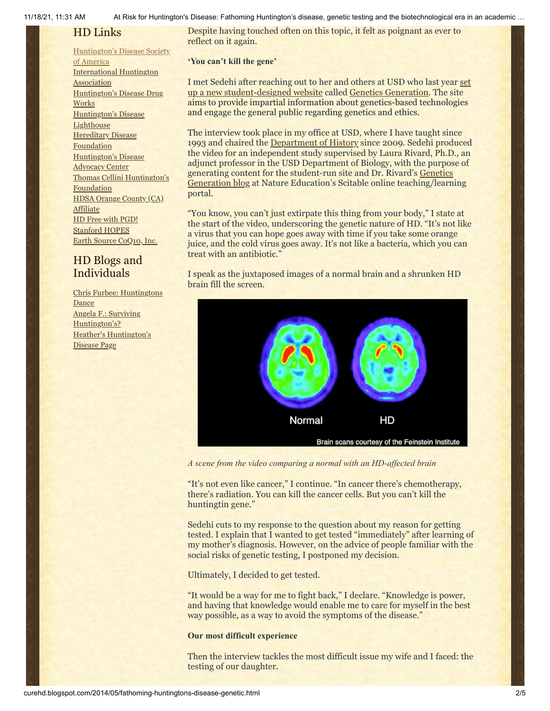11/18/21, 11:31 AM At Risk for Huntington's Disease: Fathoming Huntington's disease, genetic testing and the biotechnological era in an academic …

# HD Links

#### [Huntington's](http://www.hdsa.org/) Disease Society

of America [International](http://www.huntington-assoc.com/) Huntington **Association** [Huntington's](http://hddrugworks.org/) Disease Drug **Works** [Huntington's](http://www.hdlighthouse.org/) Disease **Lighthouse Hereditary Disease [Foundation](http://www.hdfoundation.org/)** [Huntington's](http://www.hdac.org/) Disease Advocacy Center Thomas [Cellini Huntington's](http://www.ourtchfoundation.org/) **Foundation** HDSA Orange County (CA) **[Affiliate](http://www.hdsaoc.org/)** HD Free with [PGD!](http://www.hdfreewithpgd.com/) [Stanford](http://www.stanford.edu/group/hopes/) HOPES Earth Source [CoQ10,](http://www.escoq10.com/) Inc.

# HD Blogs and Individuals

Chris Furbee: [Huntingtons](http://www.huntingtonsdance.org/) **Dance** Angela F.: Surviving [Huntington's?](http://survivinghuntingtons.blogspot.com/) Heather's [Huntington's](http://heatherdugdale.angelfire.com/) Disease Page

Despite having touched often on this topic, it felt as poignant as ever to reflect on it again.

**'You can't kill the gene'**

I met Sedehi after reaching out to her and others at USD who last year set [up a new student-designed website called Genetics Generation. The site](http://www.sandiego.edu/insideusd/?p=30385) aims to provide impartial information about genetics-based technologies and engage the general public regarding genetics and ethics.

The interview took place in my office at USD, where I have taught since 1993 and chaired the [Department of History](http://www.sandiego.edu/cas/history/) since 2009. Sedehi produced the video for an independent study supervised by Laura Rivard, Ph.D., an adjunct professor in the USD Department of Biology, with the purpose of generating content for the student-run site and Dr. Rivard's Genetics Generation blog [at Nature Education's Scitable online teaching/learn](http://www.nature.com/scitable/forums/genetics-generation)ing portal.

"You know, you can't just extirpate this thing from your body," I state at the start of the video, underscoring the genetic nature of HD. "It's not like a virus that you can hope goes away with time if you take some orange juice, and the cold virus goes away. It's not like a bacteria, which you can treat with an antibiotic."

I speak as the juxtaposed images of a normal brain and a shrunken HD brain fill the screen.



*A scene from the video comparing a normal with an HD-affected brain*

"It's not even like cancer," I continue. "In cancer there's chemotherapy, there's radiation. You can kill the cancer cells. But you can't kill the huntingtin gene."

Sedehi cuts to my response to the question about my reason for getting tested. I explain that I wanted to get tested "immediately" after learning of my mother's diagnosis. However, on the advice of people familiar with the social risks of genetic testing, I postponed my decision.

Ultimately, I decided to get tested.

"It would be a way for me to fight back," I declare. "Knowledge is power, and having that knowledge would enable me to care for myself in the best way possible, as a way to avoid the symptoms of the disease."

## **Our most difficult experience**

Then the interview tackles the most difficult issue my wife and I faced: the testing of our daughter.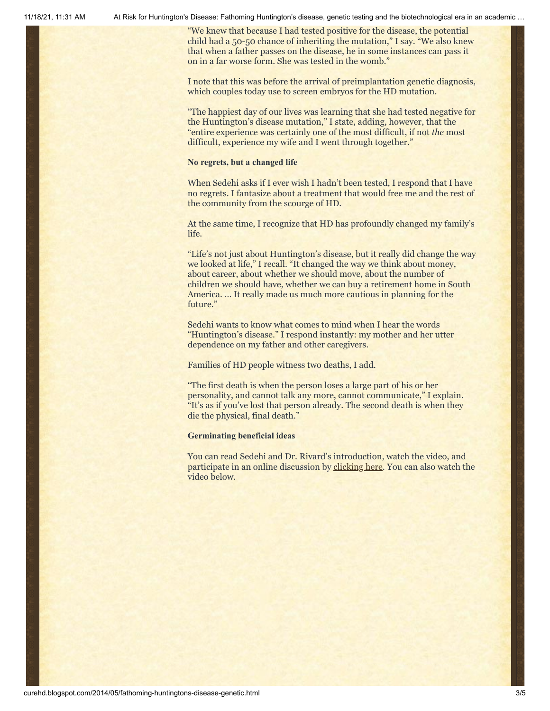11/18/21, 11:31 AM At Risk for Huntington's Disease: Fathoming Huntington's disease, genetic testing and the biotechnological era in an academic …

"We knew that because I had tested positive for the disease, the potential child had a 50-50 chance of inheriting the mutation," I say. "We also knew that when a father passes on the disease, he in some instances can pass it on in a far worse form. She was tested in the womb."

I note that this was before the arrival of preimplantation genetic diagnosis, which couples today use to screen embryos for the HD mutation.

"The happiest day of our lives was learning that she had tested negative for the Huntington's disease mutation," I state, adding, however, that the "entire experience was certainly one of the most difficult, if not *the* most difficult, experience my wife and I went through together."

#### **No regrets, but a changed life**

When Sedehi asks if I ever wish I hadn't been tested, I respond that I have no regrets. I fantasize about a treatment that would free me and the rest of the community from the scourge of HD.

At the same time, I recognize that HD has profoundly changed my family's life.

"Life's not just about Huntington's disease, but it really did change the way we looked at life," I recall. "It changed the way we think about money, about career, about whether we should move, about the number of children we should have, whether we can buy a retirement home in South America. … It really made us much more cautious in planning for the future."

Sedehi wants to know what comes to mind when I hear the words "Huntington's disease." I respond instantly: my mother and her utter dependence on my father and other caregivers.

Families of HD people witness two deaths, I add.

"The first death is when the person loses a large part of his or her personality, and cannot talk any more, cannot communicate," I explain. "It's as if you've lost that person already. The second death is when they die the physical, final death."

#### **Germinating beneficial ideas**

You can read Sedehi and Dr. Rivard's introduction, watch the video, and participate in an online discussion by [clicking here](http://www.nature.com/scitable/forums/genetics-generation/when-a-case-study-isn-t-hypothetical-119120903). You can also watch the video below.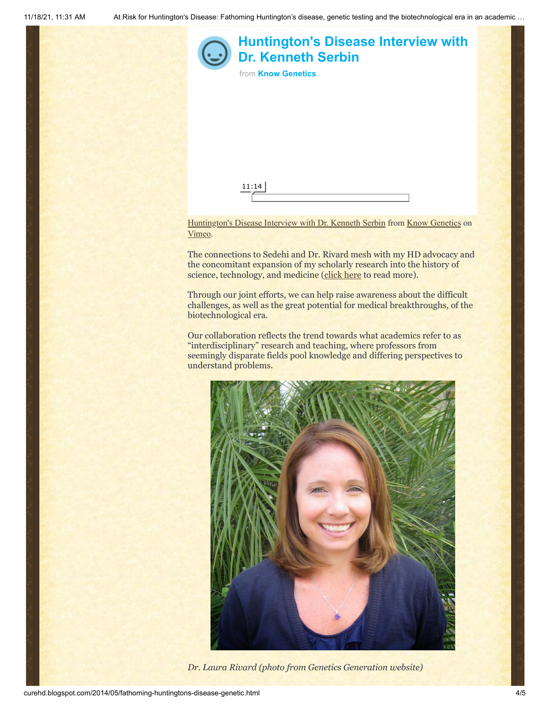

Through our joint efforts, we can help raise awareness about the difficult challenges, as well as the great potential for medical breakthroughs, of the biotechnological era.

Our collaboration reflects the trend towards what academics refer to as "interdisciplinary" research and teaching, where professors from seemingly disparate fields pool knowledge and differing perspectives to understand problems.



*Dr. Laura Rivard (photo from Genetics Generation website)*